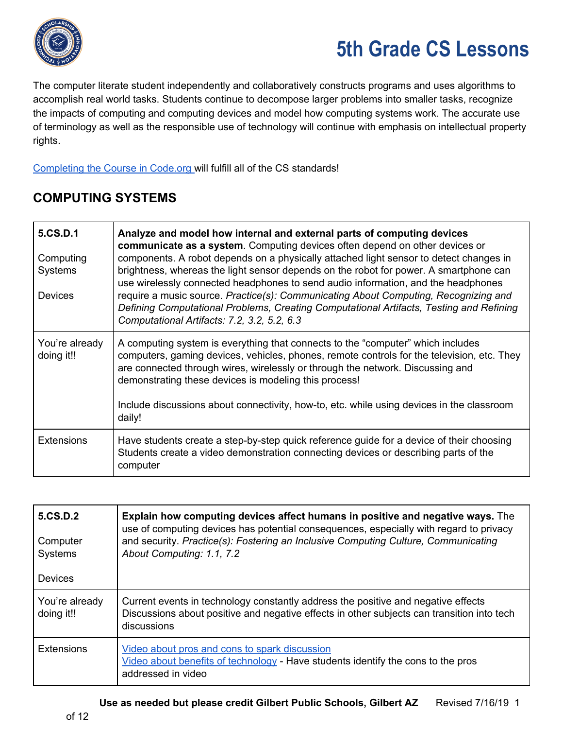

The computer literate student independently and collaboratively constructs programs and uses algorithms to accomplish real world tasks. Students continue to decompose larger problems into smaller tasks, recognize the impacts of computing and computing devices and model how computing systems work. The accurate use of terminology as well as the responsible use of technology will continue with emphasis on intellectual property rights.

[Completing](https://code.org/educate/curriculum/elementary-school) the Course in Code.org will fulfill all of the CS standards!

#### **COMPUTING SYSTEMS**

| 5.CS.D.1<br>Computing<br><b>Systems</b><br><b>Devices</b> | Analyze and model how internal and external parts of computing devices<br>communicate as a system. Computing devices often depend on other devices or<br>components. A robot depends on a physically attached light sensor to detect changes in<br>brightness, whereas the light sensor depends on the robot for power. A smartphone can<br>use wirelessly connected headphones to send audio information, and the headphones<br>require a music source. Practice(s): Communicating About Computing, Recognizing and<br>Defining Computational Problems, Creating Computational Artifacts, Testing and Refining<br>Computational Artifacts: 7.2, 3.2, 5.2, 6.3 |
|-----------------------------------------------------------|----------------------------------------------------------------------------------------------------------------------------------------------------------------------------------------------------------------------------------------------------------------------------------------------------------------------------------------------------------------------------------------------------------------------------------------------------------------------------------------------------------------------------------------------------------------------------------------------------------------------------------------------------------------|
| You're already<br>doing it!!                              | A computing system is everything that connects to the "computer" which includes<br>computers, gaming devices, vehicles, phones, remote controls for the television, etc. They<br>are connected through wires, wirelessly or through the network. Discussing and<br>demonstrating these devices is modeling this process!<br>Include discussions about connectivity, how-to, etc. while using devices in the classroom<br>daily!                                                                                                                                                                                                                                |
| <b>Extensions</b>                                         | Have students create a step-by-step quick reference guide for a device of their choosing<br>Students create a video demonstration connecting devices or describing parts of the<br>computer                                                                                                                                                                                                                                                                                                                                                                                                                                                                    |

| 5.CS.D.2<br>Computer<br><b>Systems</b><br><b>Devices</b> | Explain how computing devices affect humans in positive and negative ways. The<br>use of computing devices has potential consequences, especially with regard to privacy<br>and security. Practice(s): Fostering an Inclusive Computing Culture, Communicating<br>About Computing: 1.1, 7.2 |
|----------------------------------------------------------|---------------------------------------------------------------------------------------------------------------------------------------------------------------------------------------------------------------------------------------------------------------------------------------------|
| You're already<br>doing it!!                             | Current events in technology constantly address the positive and negative effects<br>Discussions about positive and negative effects in other subjects can transition into tech<br>discussions                                                                                              |
| <b>Extensions</b>                                        | Video about pros and cons to spark discussion<br>Video about benefits of technology - Have students identify the cons to the pros<br>addressed in video                                                                                                                                     |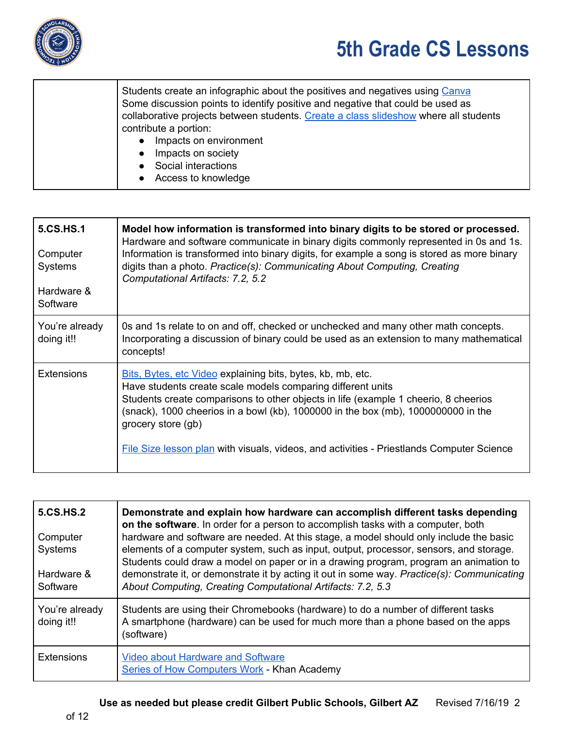

| Students create an infographic about the positives and negatives using Canva<br>Some discussion points to identify positive and negative that could be used as<br>collaborative projects between students. Create a class slideshow where all students |
|--------------------------------------------------------------------------------------------------------------------------------------------------------------------------------------------------------------------------------------------------------|
| contribute a portion:                                                                                                                                                                                                                                  |
| Impacts on environment                                                                                                                                                                                                                                 |
| Impacts on society<br>$\bullet$                                                                                                                                                                                                                        |
| Social interactions<br>$\bullet$                                                                                                                                                                                                                       |
| Access to knowledge                                                                                                                                                                                                                                    |

| 5.CS.HS.1<br>Computer<br>Systems<br>Hardware &<br>Software | Model how information is transformed into binary digits to be stored or processed.<br>Hardware and software communicate in binary digits commonly represented in 0s and 1s.<br>Information is transformed into binary digits, for example a song is stored as more binary<br>digits than a photo. Practice(s): Communicating About Computing, Creating<br>Computational Artifacts: 7.2, 5.2                               |
|------------------------------------------------------------|---------------------------------------------------------------------------------------------------------------------------------------------------------------------------------------------------------------------------------------------------------------------------------------------------------------------------------------------------------------------------------------------------------------------------|
| You're already<br>doing it!!                               | Os and 1s relate to on and off, checked or unchecked and many other math concepts.<br>Incorporating a discussion of binary could be used as an extension to many mathematical<br>concepts!                                                                                                                                                                                                                                |
| <b>Extensions</b>                                          | Bits, Bytes, etc Video explaining bits, bytes, kb, mb, etc.<br>Have students create scale models comparing different units<br>Students create comparisons to other objects in life (example 1 cheerio, 8 cheerios<br>(snack), 1000 cheerios in a bowl (kb), 1000000 in the box (mb), 1000000000 in the<br>grocery store (gb)<br>File Size lesson plan with visuals, videos, and activities - Priestlands Computer Science |

| <b>5.CS.HS.2</b><br>Computer<br><b>Systems</b><br>Hardware &<br>Software | Demonstrate and explain how hardware can accomplish different tasks depending<br>on the software. In order for a person to accomplish tasks with a computer, both<br>hardware and software are needed. At this stage, a model should only include the basic<br>elements of a computer system, such as input, output, processor, sensors, and storage.<br>Students could draw a model on paper or in a drawing program, program an animation to<br>demonstrate it, or demonstrate it by acting it out in some way. Practice(s): Communicating<br>About Computing, Creating Computational Artifacts: 7.2, 5.3 |
|--------------------------------------------------------------------------|-------------------------------------------------------------------------------------------------------------------------------------------------------------------------------------------------------------------------------------------------------------------------------------------------------------------------------------------------------------------------------------------------------------------------------------------------------------------------------------------------------------------------------------------------------------------------------------------------------------|
| You're already<br>doing it!!                                             | Students are using their Chromebooks (hardware) to do a number of different tasks<br>A smartphone (hardware) can be used for much more than a phone based on the apps<br>(software)                                                                                                                                                                                                                                                                                                                                                                                                                         |
| <b>Extensions</b>                                                        | <b>Video about Hardware and Software</b><br><b>Series of How Computers Work - Khan Academy</b>                                                                                                                                                                                                                                                                                                                                                                                                                                                                                                              |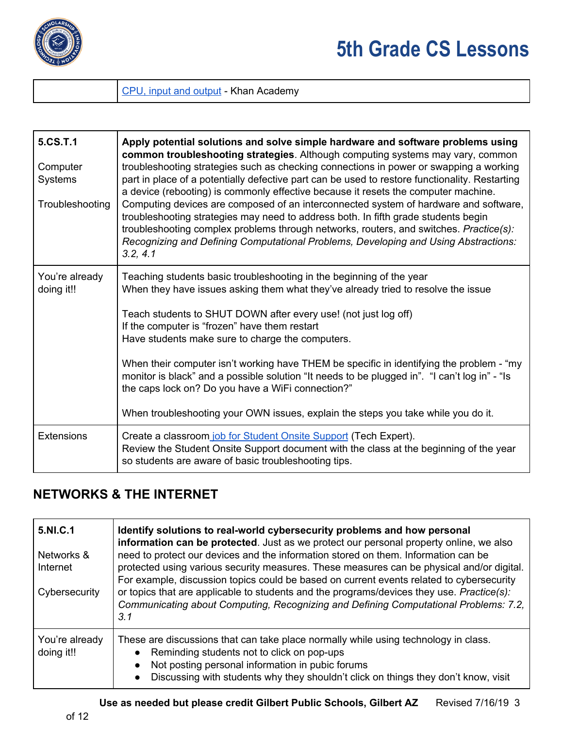

#### CPU, input and [output](https://www.khanacademy.org/computing/computer-science/how-computers-work2/v/khan-academy-and-codeorg-cpu-memory-input-output) - Khan Academy

| 5.CS.T.1<br>Computer<br><b>Systems</b><br>Troubleshooting | Apply potential solutions and solve simple hardware and software problems using<br>common troubleshooting strategies. Although computing systems may vary, common<br>troubleshooting strategies such as checking connections in power or swapping a working<br>part in place of a potentially defective part can be used to restore functionality. Restarting<br>a device (rebooting) is commonly effective because it resets the computer machine.<br>Computing devices are composed of an interconnected system of hardware and software,<br>troubleshooting strategies may need to address both. In fifth grade students begin<br>troubleshooting complex problems through networks, routers, and switches. Practice(s):<br>Recognizing and Defining Computational Problems, Developing and Using Abstractions:<br>3.2, 4.1 |
|-----------------------------------------------------------|--------------------------------------------------------------------------------------------------------------------------------------------------------------------------------------------------------------------------------------------------------------------------------------------------------------------------------------------------------------------------------------------------------------------------------------------------------------------------------------------------------------------------------------------------------------------------------------------------------------------------------------------------------------------------------------------------------------------------------------------------------------------------------------------------------------------------------|
| You're already<br>doing it!!                              | Teaching students basic troubleshooting in the beginning of the year<br>When they have issues asking them what they've already tried to resolve the issue<br>Teach students to SHUT DOWN after every use! (not just log off)<br>If the computer is "frozen" have them restart<br>Have students make sure to charge the computers.<br>When their computer isn't working have THEM be specific in identifying the problem - "my<br>monitor is black" and a possible solution "It needs to be plugged in". "I can't log in" - "Is<br>the caps lock on? Do you have a WiFi connection?"<br>When troubleshooting your OWN issues, explain the steps you take while you do it.                                                                                                                                                       |
| <b>Extensions</b>                                         | Create a classroom job for Student Onsite Support (Tech Expert).<br>Review the Student Onsite Support document with the class at the beginning of the year<br>so students are aware of basic troubleshooting tips.                                                                                                                                                                                                                                                                                                                                                                                                                                                                                                                                                                                                             |

#### **NETWORKS & THE INTERNET**

| 5.NI.C.1<br>Networks &<br>Internet<br>Cybersecurity | Identify solutions to real-world cybersecurity problems and how personal<br>information can be protected. Just as we protect our personal property online, we also<br>need to protect our devices and the information stored on them. Information can be<br>protected using various security measures. These measures can be physical and/or digital.<br>For example, discussion topics could be based on current events related to cybersecurity<br>or topics that are applicable to students and the programs/devices they use. Practice(s):<br>Communicating about Computing, Recognizing and Defining Computational Problems: 7.2,<br>3.1 |
|-----------------------------------------------------|-----------------------------------------------------------------------------------------------------------------------------------------------------------------------------------------------------------------------------------------------------------------------------------------------------------------------------------------------------------------------------------------------------------------------------------------------------------------------------------------------------------------------------------------------------------------------------------------------------------------------------------------------|
| You're already<br>doing it!!                        | These are discussions that can take place normally while using technology in class.<br>Reminding students not to click on pop-ups<br>Not posting personal information in pubic forums<br>$\bullet$<br>Discussing with students why they shouldn't click on things they don't know, visit<br>$\bullet$                                                                                                                                                                                                                                                                                                                                         |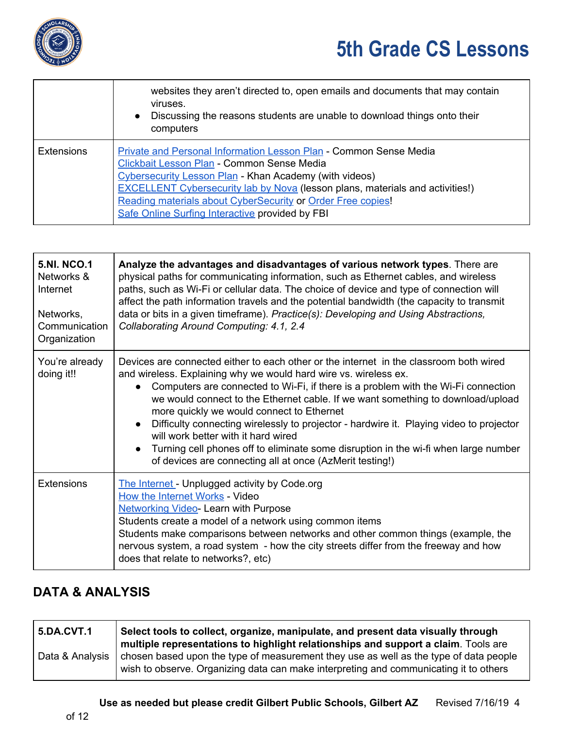

|                   | websites they aren't directed to, open emails and documents that may contain<br>viruses.<br>Discussing the reasons students are unable to download things onto their<br>$\bullet$<br>computers                                                                                                                                                                                      |
|-------------------|-------------------------------------------------------------------------------------------------------------------------------------------------------------------------------------------------------------------------------------------------------------------------------------------------------------------------------------------------------------------------------------|
| <b>Extensions</b> | Private and Personal Information Lesson Plan - Common Sense Media<br>Clickbait Lesson Plan - Common Sense Media<br>Cybersecurity Lesson Plan - Khan Academy (with videos)<br><b>EXCELLENT Cybersecurity lab by Nova (lesson plans, materials and activities!)</b><br>Reading materials about CyberSecurity or Order Free copies!<br>Safe Online Surfing Interactive provided by FBI |

| <b>5.NI. NCO.1</b><br>Networks &<br>Internet<br>Networks,<br>Communication<br>Organization | Analyze the advantages and disadvantages of various network types. There are<br>physical paths for communicating information, such as Ethernet cables, and wireless<br>paths, such as Wi-Fi or cellular data. The choice of device and type of connection will<br>affect the path information travels and the potential bandwidth (the capacity to transmit<br>data or bits in a given timeframe). Practice(s): Developing and Using Abstractions,<br>Collaborating Around Computing: 4.1, 2.4                                                                                                                                                                       |
|--------------------------------------------------------------------------------------------|----------------------------------------------------------------------------------------------------------------------------------------------------------------------------------------------------------------------------------------------------------------------------------------------------------------------------------------------------------------------------------------------------------------------------------------------------------------------------------------------------------------------------------------------------------------------------------------------------------------------------------------------------------------------|
| You're already<br>doing it!!                                                               | Devices are connected either to each other or the internet in the classroom both wired<br>and wireless. Explaining why we would hard wire vs. wireless ex.<br>Computers are connected to Wi-Fi, if there is a problem with the Wi-Fi connection<br>we would connect to the Ethernet cable. If we want something to download/upload<br>more quickly we would connect to Ethernet<br>Difficulty connecting wirelessly to projector - hardwire it. Playing video to projector<br>will work better with it hard wired<br>Turning cell phones off to eliminate some disruption in the wi-fi when large number<br>of devices are connecting all at once (AzMerit testing!) |
| <b>Extensions</b>                                                                          | The Internet - Unplugged activity by Code.org<br>How the Internet Works - Video<br><b>Networking Video- Learn with Purpose</b><br>Students create a model of a network using common items<br>Students make comparisons between networks and other common things (example, the<br>nervous system, a road system - how the city streets differ from the freeway and how<br>does that relate to networks?, etc)                                                                                                                                                                                                                                                         |

### **DATA & ANALYSIS**

| <b>5.DA.CVT.1</b> | Select tools to collect, organize, manipulate, and present data visually through<br>multiple representations to highlight relationships and support a claim. Tools are         |
|-------------------|--------------------------------------------------------------------------------------------------------------------------------------------------------------------------------|
| Data & Analysis   | chosen based upon the type of measurement they use as well as the type of data people<br>wish to observe. Organizing data can make interpreting and communicating it to others |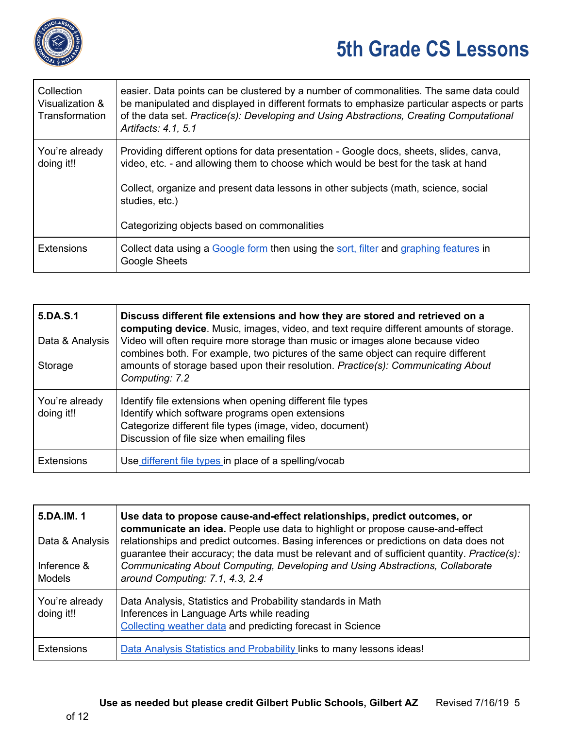

| Collection<br>Visualization &<br>Transformation | easier. Data points can be clustered by a number of commonalities. The same data could<br>be manipulated and displayed in different formats to emphasize particular aspects or parts<br>of the data set. Practice(s): Developing and Using Abstractions, Creating Computational<br>Artifacts: 4.1, 5.1                                |
|-------------------------------------------------|---------------------------------------------------------------------------------------------------------------------------------------------------------------------------------------------------------------------------------------------------------------------------------------------------------------------------------------|
| You're already<br>doing it!!                    | Providing different options for data presentation - Google docs, sheets, slides, canva,<br>video, etc. - and allowing them to choose which would be best for the task at hand<br>Collect, organize and present data lessons in other subjects (math, science, social<br>studies, etc.)<br>Categorizing objects based on commonalities |
|                                                 |                                                                                                                                                                                                                                                                                                                                       |
| <b>Extensions</b>                               | Collect data using a Google form then using the sort, filter and graphing features in<br><b>Google Sheets</b>                                                                                                                                                                                                                         |

| 5.DA.S.1<br>Data & Analysis<br>Storage | Discuss different file extensions and how they are stored and retrieved on a<br>computing device. Music, images, video, and text require different amounts of storage.<br>Video will often require more storage than music or images alone because video<br>combines both. For example, two pictures of the same object can require different<br>amounts of storage based upon their resolution. Practice(s): Communicating About<br>Computing: 7.2 |
|----------------------------------------|-----------------------------------------------------------------------------------------------------------------------------------------------------------------------------------------------------------------------------------------------------------------------------------------------------------------------------------------------------------------------------------------------------------------------------------------------------|
| You're already<br>doing it!!           | Identify file extensions when opening different file types<br>Identify which software programs open extensions<br>Categorize different file types (image, video, document)<br>Discussion of file size when emailing files                                                                                                                                                                                                                           |
| <b>Extensions</b>                      | Use different file types in place of a spelling/vocab                                                                                                                                                                                                                                                                                                                                                                                               |

| 5.DA.IM. 1<br>Data & Analysis<br>Inference &<br><b>Models</b> | Use data to propose cause-and-effect relationships, predict outcomes, or<br>communicate an idea. People use data to highlight or propose cause-and-effect<br>relationships and predict outcomes. Basing inferences or predictions on data does not<br>guarantee their accuracy; the data must be relevant and of sufficient quantity. Practice(s):<br>Communicating About Computing, Developing and Using Abstractions, Collaborate<br>around Computing: 7.1, 4.3, 2.4 |
|---------------------------------------------------------------|------------------------------------------------------------------------------------------------------------------------------------------------------------------------------------------------------------------------------------------------------------------------------------------------------------------------------------------------------------------------------------------------------------------------------------------------------------------------|
| You're already<br>doing it!!                                  | Data Analysis, Statistics and Probability standards in Math<br>Inferences in Language Arts while reading<br>Collecting weather data and predicting forecast in Science                                                                                                                                                                                                                                                                                                 |
| <b>Extensions</b>                                             | Data Analysis Statistics and Probability links to many lessons ideas!                                                                                                                                                                                                                                                                                                                                                                                                  |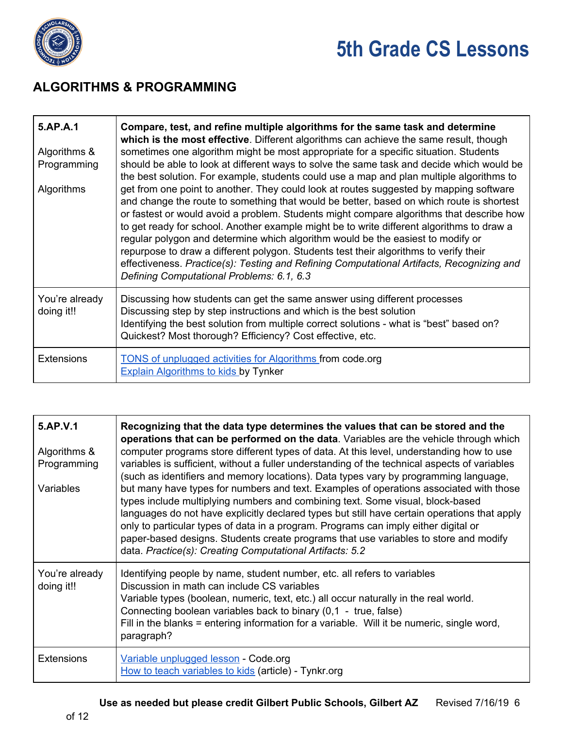

#### **ALGORITHMS & PROGRAMMING**

| 5.AP.A.1<br>Algorithms &<br>Programming<br>Algorithms | Compare, test, and refine multiple algorithms for the same task and determine<br>which is the most effective. Different algorithms can achieve the same result, though<br>sometimes one algorithm might be most appropriate for a specific situation. Students<br>should be able to look at different ways to solve the same task and decide which would be<br>the best solution. For example, students could use a map and plan multiple algorithms to<br>get from one point to another. They could look at routes suggested by mapping software<br>and change the route to something that would be better, based on which route is shortest<br>or fastest or would avoid a problem. Students might compare algorithms that describe how<br>to get ready for school. Another example might be to write different algorithms to draw a<br>regular polygon and determine which algorithm would be the easiest to modify or<br>repurpose to draw a different polygon. Students test their algorithms to verify their<br>effectiveness. Practice(s): Testing and Refining Computational Artifacts, Recognizing and<br>Defining Computational Problems: 6.1, 6.3 |
|-------------------------------------------------------|--------------------------------------------------------------------------------------------------------------------------------------------------------------------------------------------------------------------------------------------------------------------------------------------------------------------------------------------------------------------------------------------------------------------------------------------------------------------------------------------------------------------------------------------------------------------------------------------------------------------------------------------------------------------------------------------------------------------------------------------------------------------------------------------------------------------------------------------------------------------------------------------------------------------------------------------------------------------------------------------------------------------------------------------------------------------------------------------------------------------------------------------------------------|
| You're already<br>doing it!!                          | Discussing how students can get the same answer using different processes<br>Discussing step by step instructions and which is the best solution<br>Identifying the best solution from multiple correct solutions - what is "best" based on?<br>Quickest? Most thorough? Efficiency? Cost effective, etc.                                                                                                                                                                                                                                                                                                                                                                                                                                                                                                                                                                                                                                                                                                                                                                                                                                                    |
| <b>Extensions</b>                                     | <b>TONS of unplugged activities for Algorithms from code.org</b><br><b>Explain Algorithms to kids by Tynker</b>                                                                                                                                                                                                                                                                                                                                                                                                                                                                                                                                                                                                                                                                                                                                                                                                                                                                                                                                                                                                                                              |

| 5.AP.V.1<br>Algorithms &<br>Programming<br>Variables | Recognizing that the data type determines the values that can be stored and the<br>operations that can be performed on the data. Variables are the vehicle through which<br>computer programs store different types of data. At this level, understanding how to use<br>variables is sufficient, without a fuller understanding of the technical aspects of variables<br>(such as identifiers and memory locations). Data types vary by programming language,<br>but many have types for numbers and text. Examples of operations associated with those<br>types include multiplying numbers and combining text. Some visual, block-based<br>languages do not have explicitly declared types but still have certain operations that apply<br>only to particular types of data in a program. Programs can imply either digital or<br>paper-based designs. Students create programs that use variables to store and modify<br>data. Practice(s): Creating Computational Artifacts: 5.2 |
|------------------------------------------------------|--------------------------------------------------------------------------------------------------------------------------------------------------------------------------------------------------------------------------------------------------------------------------------------------------------------------------------------------------------------------------------------------------------------------------------------------------------------------------------------------------------------------------------------------------------------------------------------------------------------------------------------------------------------------------------------------------------------------------------------------------------------------------------------------------------------------------------------------------------------------------------------------------------------------------------------------------------------------------------------|
| You're already<br>doing it!!                         | Identifying people by name, student number, etc. all refers to variables<br>Discussion in math can include CS variables<br>Variable types (boolean, numeric, text, etc.) all occur naturally in the real world.<br>Connecting boolean variables back to binary (0,1 - true, false)<br>Fill in the blanks = entering information for a variable. Will it be numeric, single word,<br>paragraph?                                                                                                                                                                                                                                                                                                                                                                                                                                                                                                                                                                                       |
| <b>Extensions</b>                                    | Variable unplugged lesson - Code.org<br>How to teach variables to kids (article) - Tynkr.org                                                                                                                                                                                                                                                                                                                                                                                                                                                                                                                                                                                                                                                                                                                                                                                                                                                                                         |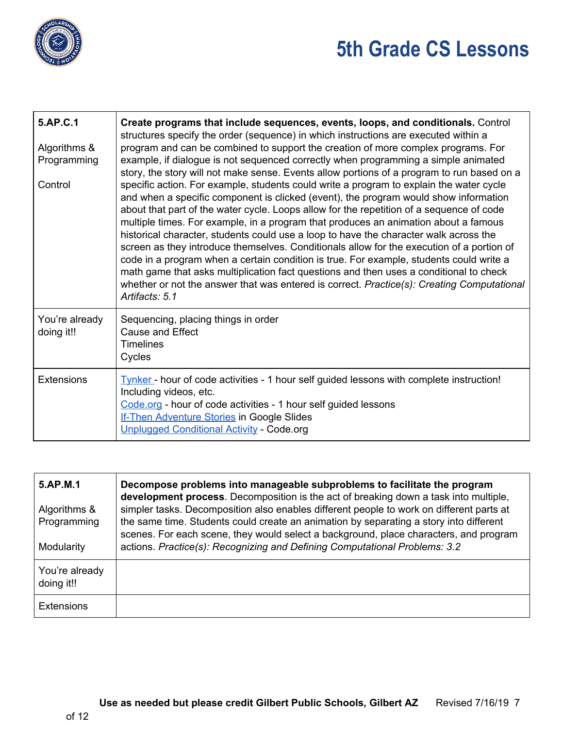

| 5.AP.C.1<br>Algorithms &<br>Programming<br>Control | Create programs that include sequences, events, loops, and conditionals. Control<br>structures specify the order (sequence) in which instructions are executed within a<br>program and can be combined to support the creation of more complex programs. For<br>example, if dialogue is not sequenced correctly when programming a simple animated<br>story, the story will not make sense. Events allow portions of a program to run based on a<br>specific action. For example, students could write a program to explain the water cycle<br>and when a specific component is clicked (event), the program would show information<br>about that part of the water cycle. Loops allow for the repetition of a sequence of code<br>multiple times. For example, in a program that produces an animation about a famous<br>historical character, students could use a loop to have the character walk across the<br>screen as they introduce themselves. Conditionals allow for the execution of a portion of<br>code in a program when a certain condition is true. For example, students could write a<br>math game that asks multiplication fact questions and then uses a conditional to check<br>whether or not the answer that was entered is correct. Practice(s): Creating Computational<br>Artifacts: 5.1 |
|----------------------------------------------------|-------------------------------------------------------------------------------------------------------------------------------------------------------------------------------------------------------------------------------------------------------------------------------------------------------------------------------------------------------------------------------------------------------------------------------------------------------------------------------------------------------------------------------------------------------------------------------------------------------------------------------------------------------------------------------------------------------------------------------------------------------------------------------------------------------------------------------------------------------------------------------------------------------------------------------------------------------------------------------------------------------------------------------------------------------------------------------------------------------------------------------------------------------------------------------------------------------------------------------------------------------------------------------------------------------------------|
| You're already<br>doing it!!                       | Sequencing, placing things in order<br><b>Cause and Effect</b><br><b>Timelines</b><br>Cycles                                                                                                                                                                                                                                                                                                                                                                                                                                                                                                                                                                                                                                                                                                                                                                                                                                                                                                                                                                                                                                                                                                                                                                                                                      |
| <b>Extensions</b>                                  | Tynker - hour of code activities - 1 hour self guided lessons with complete instruction!<br>Including videos, etc.<br>Code.org - hour of code activities - 1 hour self guided lessons<br><b>If-Then Adventure Stories in Google Slides</b><br><b>Unplugged Conditional Activity - Code.org</b>                                                                                                                                                                                                                                                                                                                                                                                                                                                                                                                                                                                                                                                                                                                                                                                                                                                                                                                                                                                                                    |

| 5.AP.M.1<br>Algorithms &<br>Programming<br>Modularity | Decompose problems into manageable subproblems to facilitate the program<br>development process. Decomposition is the act of breaking down a task into multiple,<br>simpler tasks. Decomposition also enables different people to work on different parts at<br>the same time. Students could create an animation by separating a story into different<br>scenes. For each scene, they would select a background, place characters, and program<br>actions. Practice(s): Recognizing and Defining Computational Problems: 3.2 |
|-------------------------------------------------------|-------------------------------------------------------------------------------------------------------------------------------------------------------------------------------------------------------------------------------------------------------------------------------------------------------------------------------------------------------------------------------------------------------------------------------------------------------------------------------------------------------------------------------|
| You're already<br>doing it!!                          |                                                                                                                                                                                                                                                                                                                                                                                                                                                                                                                               |
| <b>Extensions</b>                                     |                                                                                                                                                                                                                                                                                                                                                                                                                                                                                                                               |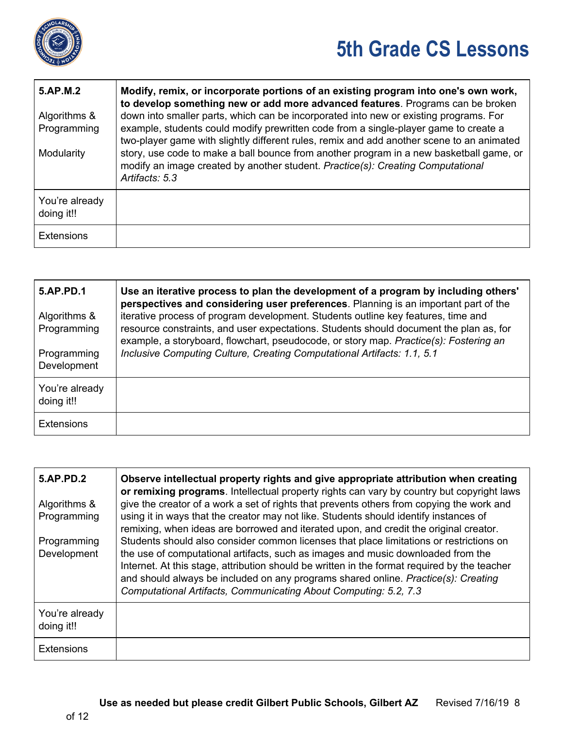

| 5.AP.M.2<br>Algorithms &<br>Programming<br>Modularity | Modify, remix, or incorporate portions of an existing program into one's own work,<br>to develop something new or add more advanced features. Programs can be broken<br>down into smaller parts, which can be incorporated into new or existing programs. For<br>example, students could modify prewritten code from a single-player game to create a<br>two-player game with slightly different rules, remix and add another scene to an animated<br>story, use code to make a ball bounce from another program in a new basketball game, or<br>modify an image created by another student. Practice(s): Creating Computational<br>Artifacts: 5.3 |
|-------------------------------------------------------|----------------------------------------------------------------------------------------------------------------------------------------------------------------------------------------------------------------------------------------------------------------------------------------------------------------------------------------------------------------------------------------------------------------------------------------------------------------------------------------------------------------------------------------------------------------------------------------------------------------------------------------------------|
| You're already<br>doing it!!                          |                                                                                                                                                                                                                                                                                                                                                                                                                                                                                                                                                                                                                                                    |
| <b>Extensions</b>                                     |                                                                                                                                                                                                                                                                                                                                                                                                                                                                                                                                                                                                                                                    |

| <b>5.AP.PD.1</b><br>Algorithms &<br>Programming<br>Programming<br>Development | Use an iterative process to plan the development of a program by including others'<br>perspectives and considering user preferences. Planning is an important part of the<br>iterative process of program development. Students outline key features, time and<br>resource constraints, and user expectations. Students should document the plan as, for<br>example, a storyboard, flowchart, pseudocode, or story map. Practice(s): Fostering an<br>Inclusive Computing Culture, Creating Computational Artifacts: 1.1, 5.1 |
|-------------------------------------------------------------------------------|------------------------------------------------------------------------------------------------------------------------------------------------------------------------------------------------------------------------------------------------------------------------------------------------------------------------------------------------------------------------------------------------------------------------------------------------------------------------------------------------------------------------------|
| You're already<br>doing it!!                                                  |                                                                                                                                                                                                                                                                                                                                                                                                                                                                                                                              |
| <b>Extensions</b>                                                             |                                                                                                                                                                                                                                                                                                                                                                                                                                                                                                                              |

| <b>5.AP.PD.2</b>             | Observe intellectual property rights and give appropriate attribution when creating<br>or remixing programs. Intellectual property rights can vary by country but copyright laws                                                                                                                                                                                                                                                      |
|------------------------------|---------------------------------------------------------------------------------------------------------------------------------------------------------------------------------------------------------------------------------------------------------------------------------------------------------------------------------------------------------------------------------------------------------------------------------------|
| Algorithms &<br>Programming  | give the creator of a work a set of rights that prevents others from copying the work and<br>using it in ways that the creator may not like. Students should identify instances of<br>remixing, when ideas are borrowed and iterated upon, and credit the original creator.                                                                                                                                                           |
| Programming<br>Development   | Students should also consider common licenses that place limitations or restrictions on<br>the use of computational artifacts, such as images and music downloaded from the<br>Internet. At this stage, attribution should be written in the format required by the teacher<br>and should always be included on any programs shared online. Practice(s): Creating<br>Computational Artifacts, Communicating About Computing: 5.2, 7.3 |
| You're already<br>doing it!! |                                                                                                                                                                                                                                                                                                                                                                                                                                       |
| <b>Extensions</b>            |                                                                                                                                                                                                                                                                                                                                                                                                                                       |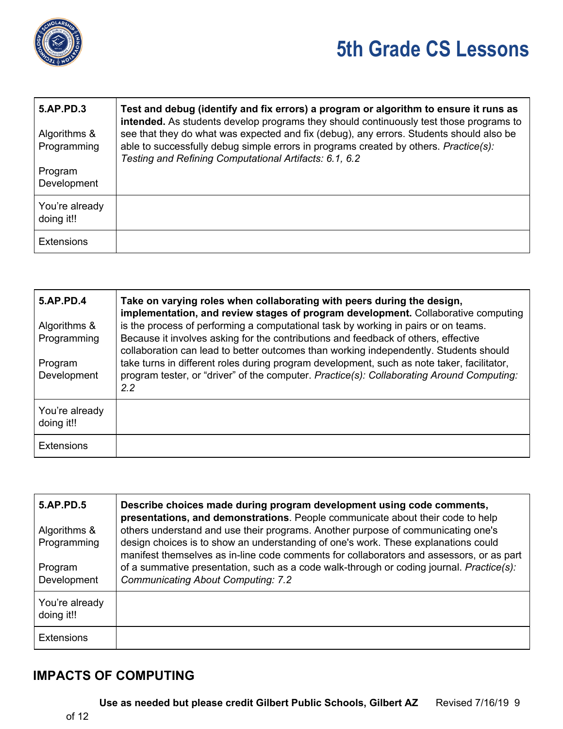

| <b>5.AP.PD.3</b><br>Algorithms & | Test and debug (identify and fix errors) a program or algorithm to ensure it runs as<br>intended. As students develop programs they should continuously test those programs to<br>see that they do what was expected and fix (debug), any errors. Students should also be |
|----------------------------------|---------------------------------------------------------------------------------------------------------------------------------------------------------------------------------------------------------------------------------------------------------------------------|
| Programming                      | able to successfully debug simple errors in programs created by others. Practice(s):<br>Testing and Refining Computational Artifacts: 6.1, 6.2                                                                                                                            |
| Program<br>Development           |                                                                                                                                                                                                                                                                           |
| You're already<br>doing it!!     |                                                                                                                                                                                                                                                                           |
| <b>Extensions</b>                |                                                                                                                                                                                                                                                                           |

| <b>5.AP.PD.4</b>             | Take on varying roles when collaborating with peers during the design,<br>implementation, and review stages of program development. Collaborative computing              |
|------------------------------|--------------------------------------------------------------------------------------------------------------------------------------------------------------------------|
| Algorithms &<br>Programming  | is the process of performing a computational task by working in pairs or on teams.<br>Because it involves asking for the contributions and feedback of others, effective |
|                              | collaboration can lead to better outcomes than working independently. Students should                                                                                    |
| Program                      | take turns in different roles during program development, such as note taker, facilitator,                                                                               |
| Development                  | program tester, or "driver" of the computer. Practice(s): Collaborating Around Computing:<br>$2.2^{\circ}$                                                               |
| You're already<br>doing it!! |                                                                                                                                                                          |
| <b>Extensions</b>            |                                                                                                                                                                          |

| <b>5.AP.PD.5</b><br>Algorithms &<br>Programming<br>Program<br>Development | Describe choices made during program development using code comments,<br>presentations, and demonstrations. People communicate about their code to help<br>others understand and use their programs. Another purpose of communicating one's<br>design choices is to show an understanding of one's work. These explanations could<br>manifest themselves as in-line code comments for collaborators and assessors, or as part<br>of a summative presentation, such as a code walk-through or coding journal. Practice(s):<br><b>Communicating About Computing: 7.2</b> |
|---------------------------------------------------------------------------|------------------------------------------------------------------------------------------------------------------------------------------------------------------------------------------------------------------------------------------------------------------------------------------------------------------------------------------------------------------------------------------------------------------------------------------------------------------------------------------------------------------------------------------------------------------------|
| You're already<br>doing it!!                                              |                                                                                                                                                                                                                                                                                                                                                                                                                                                                                                                                                                        |
| <b>Extensions</b>                                                         |                                                                                                                                                                                                                                                                                                                                                                                                                                                                                                                                                                        |

#### **IMPACTS OF COMPUTING**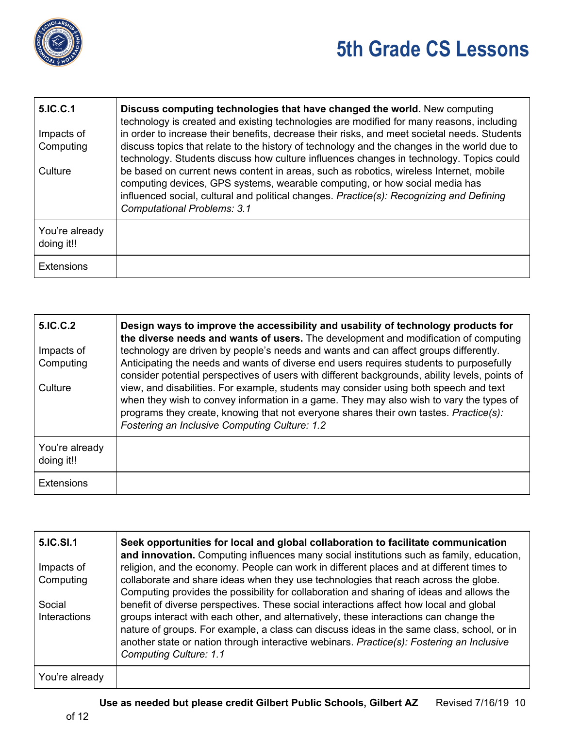

| 5.IC.C.1                     | Discuss computing technologies that have changed the world. New computing<br>technology is created and existing technologies are modified for many reasons, including                                                                                                                                   |
|------------------------------|---------------------------------------------------------------------------------------------------------------------------------------------------------------------------------------------------------------------------------------------------------------------------------------------------------|
| Impacts of                   | in order to increase their benefits, decrease their risks, and meet societal needs. Students                                                                                                                                                                                                            |
| Computing                    | discuss topics that relate to the history of technology and the changes in the world due to<br>technology. Students discuss how culture influences changes in technology. Topics could                                                                                                                  |
| Culture                      | be based on current news content in areas, such as robotics, wireless Internet, mobile<br>computing devices, GPS systems, wearable computing, or how social media has<br>influenced social, cultural and political changes. Practice(s): Recognizing and Defining<br><b>Computational Problems: 3.1</b> |
| You're already<br>doing it!! |                                                                                                                                                                                                                                                                                                         |
| <b>Extensions</b>            |                                                                                                                                                                                                                                                                                                         |

| 5.IC.C.2                     | Design ways to improve the accessibility and usability of technology products for<br>the diverse needs and wants of users. The development and modification of computing                                                                                                                                                   |
|------------------------------|----------------------------------------------------------------------------------------------------------------------------------------------------------------------------------------------------------------------------------------------------------------------------------------------------------------------------|
| Impacts of                   | technology are driven by people's needs and wants and can affect groups differently.                                                                                                                                                                                                                                       |
| Computing                    | Anticipating the needs and wants of diverse end users requires students to purposefully<br>consider potential perspectives of users with different backgrounds, ability levels, points of                                                                                                                                  |
| Culture                      | view, and disabilities. For example, students may consider using both speech and text<br>when they wish to convey information in a game. They may also wish to vary the types of<br>programs they create, knowing that not everyone shares their own tastes. Practice(s):<br>Fostering an Inclusive Computing Culture: 1.2 |
| You're already<br>doing it!! |                                                                                                                                                                                                                                                                                                                            |
| <b>Extensions</b>            |                                                                                                                                                                                                                                                                                                                            |

| 5.IC.SI.1      | Seek opportunities for local and global collaboration to facilitate communication<br>and innovation. Computing influences many social institutions such as family, education,                                                                                                                                    |
|----------------|------------------------------------------------------------------------------------------------------------------------------------------------------------------------------------------------------------------------------------------------------------------------------------------------------------------|
| Impacts of     | religion, and the economy. People can work in different places and at different times to                                                                                                                                                                                                                         |
| Computing      | collaborate and share ideas when they use technologies that reach across the globe.<br>Computing provides the possibility for collaboration and sharing of ideas and allows the                                                                                                                                  |
| Social         | benefit of diverse perspectives. These social interactions affect how local and global                                                                                                                                                                                                                           |
| Interactions   | groups interact with each other, and alternatively, these interactions can change the<br>nature of groups. For example, a class can discuss ideas in the same class, school, or in<br>another state or nation through interactive webinars. Practice(s): Fostering an Inclusive<br><b>Computing Culture: 1.1</b> |
| You're already |                                                                                                                                                                                                                                                                                                                  |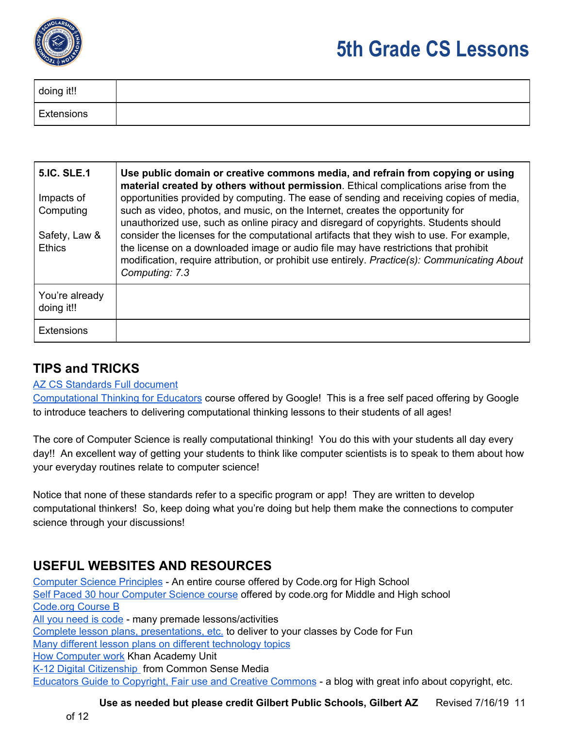

| doing it!! |  |
|------------|--|
| Extensions |  |

| <b>5.IC. SLE.1</b>             | Use public domain or creative commons media, and refrain from copying or using<br>material created by others without permission. Ethical complications arise from the                                                                                                                                                                                                                       |
|--------------------------------|---------------------------------------------------------------------------------------------------------------------------------------------------------------------------------------------------------------------------------------------------------------------------------------------------------------------------------------------------------------------------------------------|
| Impacts of<br>Computing        | opportunities provided by computing. The ease of sending and receiving copies of media,<br>such as video, photos, and music, on the Internet, creates the opportunity for                                                                                                                                                                                                                   |
| Safety, Law &<br><b>Ethics</b> | unauthorized use, such as online piracy and disregard of copyrights. Students should<br>consider the licenses for the computational artifacts that they wish to use. For example,<br>the license on a downloaded image or audio file may have restrictions that prohibit<br>modification, require attribution, or prohibit use entirely. Practice(s): Communicating About<br>Computing: 7.3 |
| You're already<br>doing it!!   |                                                                                                                                                                                                                                                                                                                                                                                             |
| <b>Extensions</b>              |                                                                                                                                                                                                                                                                                                                                                                                             |

#### **TIPS and TRICKS**

#### AZ CS [Standards](https://cms.azed.gov/home/GetDocumentFile?id=5bd8a46a1dcb250944216fea) Full document

[Computational](https://computationalthinkingcourse.withgoogle.com/course) Thinking for Educators course offered by Google! This is a free self paced offering by Google to introduce teachers to delivering computational thinking lessons to their students of all ages!

The core of Computer Science is really computational thinking! You do this with your students all day every day!! An excellent way of getting your students to think like computer scientists is to speak to them about how your everyday routines relate to computer science!

Notice that none of these standards refer to a specific program or app! They are written to develop computational thinkers! So, keep doing what you're doing but help them make the connections to computer science through your discussions!

#### **USEFUL WEBSITES AND RESOURCES**

[Computer](https://curriculum.code.org/csp-18/) Science Principles - An entire course offered by Code.org for High School Self Paced 30 hour [Computer](https://studio.code.org/s/express-2018?section_id=1682768) Science course offered by code.org for Middle and High school [Code.org](https://studio.code.org/s/courseb-2018) Course B All you [need](http://www.allyouneediscode.eu/lesson-plans) is code - many premade lessons/activities Complete lesson plans, [presentations,](https://drive.google.com/drive/folders/0B6KJM8og0YfjWkJZNHMzWWt6NVk) etc. to deliver to your classes by Code for Fun Many different lesson plans on different [technology](https://www.educationworld.com/a_lesson/lesson/lesson285.shtml) topics **How [Computer](https://www.khanacademy.org/computing/computer-science/how-computers-work2) work Khan Academy Unit** K-12 Digital [Citizenship](https://www.commonsense.org/education/digital-citizenship/curriculum) from Common Sense Media Educators Guide to [Copyright,](https://www.theedublogger.com/copyright-fair-use-and-creative-commons/) Fair use and Creative Commons - a blog with great info about copyright, etc.

**Use as needed but please credit Gilbert Public Schools, Gilbert AZ** Revised 7/16/19 11